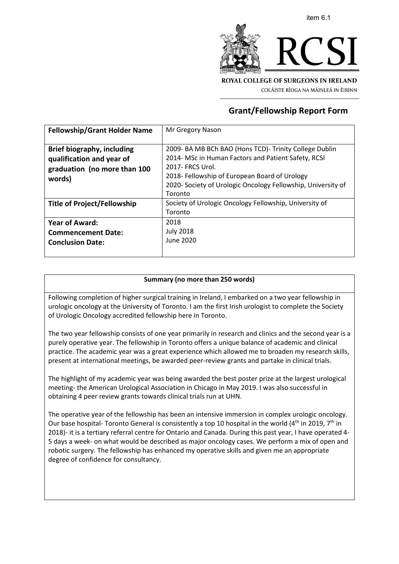



COLÁISTE RÍOGA NA MÁINLEÁ IN ÉIRINN

# **Grant/Fellowship Report Form**

| <b>Fellowship/Grant Holder Name</b> | Mr Gregory Nason                                             |
|-------------------------------------|--------------------------------------------------------------|
|                                     |                                                              |
| <b>Brief biography, including</b>   | 2009- BA MB BCh BAO (Hons TCD)- Trinity College Dublin       |
| qualification and year of           | 2014- MSc in Human Factors and Patient Safety, RCSI          |
| graduation (no more than 100        | 2017- FRCS Urol.                                             |
| words)                              | 2018- Fellowship of European Board of Urology                |
|                                     | 2020- Society of Urologic Oncology Fellowship, University of |
|                                     | Toronto                                                      |
| Title of Project/Fellowship         | Society of Urologic Oncology Fellowship, University of       |
|                                     | Toronto                                                      |
| <b>Year of Award:</b>               | 2018                                                         |
| <b>Commencement Date:</b>           | <b>July 2018</b>                                             |
| <b>Conclusion Date:</b>             | June 2020                                                    |
|                                     |                                                              |

## **Summary (no more than 250 words)**

Following completion of higher surgical training in Ireland, I embarked on a two year fellowship in urologic oncology at the University of Toronto. I am the first Irish urologist to complete the Society of Urologic Oncology accredited fellowship here in Toronto.

The two year fellowship consists of one year primarily in research and clinics and the second year is a purely operative year. The fellowship in Toronto offers a unique balance of academic and clinical practice. The academic year was a great experience which allowed me to broaden my research skills, present at international meetings, be awarded peer-review grants and partake in clinical trials.

The highlight of my academic year was being awarded the best poster prize at the largest urological meeting- the American Urological Association in Chicago in May 2019. I was also successful in obtaining 4 peer review grants towards clinical trials run at UHN.

The operative year of the fellowship has been an intensive immersion in complex urologic oncology. Our base hospital- Toronto General is consistently a top 10 hospital in the world ( $4<sup>th</sup>$  in 2019,  $7<sup>th</sup>$  in 2018)- it is a tertiary referral centre for Ontario and Canada. During this past year, I have operated 4- 5 days a week- on what would be described as major oncology cases. We perform a mix of open and robotic surgery. The fellowship has enhanced my operative skills and given me an appropriate degree of confidence for consultancy.